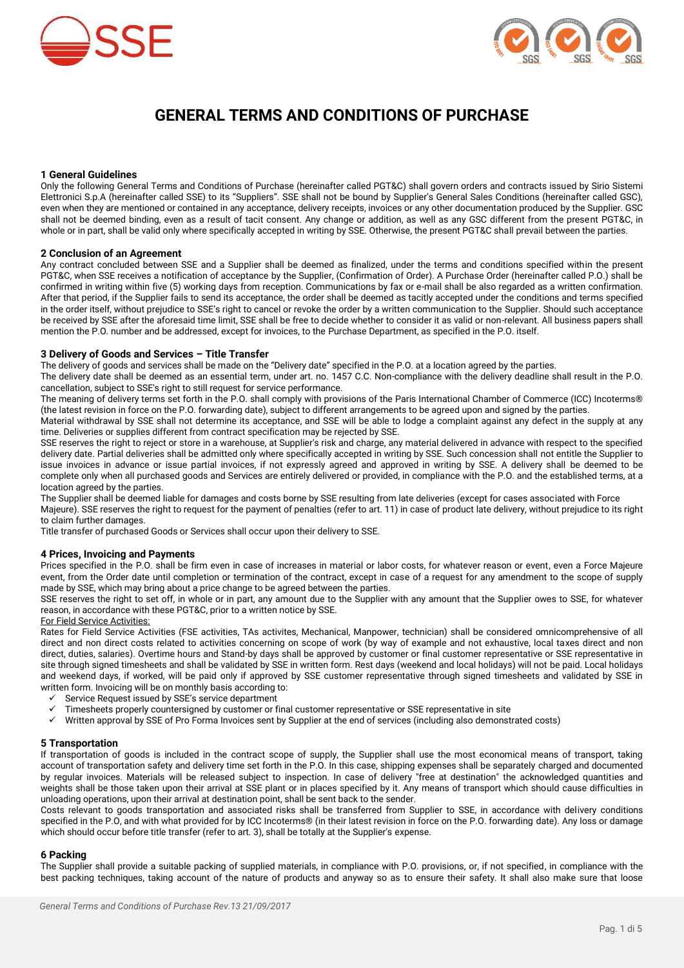



# **GENERAL TERMS AND CONDITIONS OF PURCHASE**

# **1 General Guidelines**

Only the following General Terms and Conditions of Purchase (hereinafter called PGT&C) shall govern orders and contracts issued by Sirio Sistemi Elettronici S.p.A (hereinafter called SSE) to its "Suppliers". SSE shall not be bound by Supplier's General Sales Conditions (hereinafter called GSC), even when they are mentioned or contained in any acceptance, delivery receipts, invoices or any other documentation produced by the Supplier. GSC shall not be deemed binding, even as a result of tacit consent. Any change or addition, as well as any GSC different from the present PGT&C, in whole or in part, shall be valid only where specifically accepted in writing by SSE. Otherwise, the present PGT&C shall prevail between the parties.

#### **2 Conclusion of an Agreement**

Any contract concluded between SSE and a Supplier shall be deemed as finalized, under the terms and conditions specified within the present PGT&C, when SSE receives a notification of acceptance by the Supplier, (Confirmation of Order). A Purchase Order (hereinafter called P.O.) shall be confirmed in writing within five (5) working days from reception. Communications by fax or e-mail shall be also regarded as a written confirmation. After that period, if the Supplier fails to send its acceptance, the order shall be deemed as tacitly accepted under the conditions and terms specified in the order itself, without prejudice to SSE's right to cancel or revoke the order by a written communication to the Supplier. Should such acceptance be received by SSE after the aforesaid time limit, SSE shall be free to decide whether to consider it as valid or non-relevant. All business papers shall mention the P.O. number and be addressed, except for invoices, to the Purchase Department, as specified in the P.O. itself.

# **3 Delivery of Goods and Services – Title Transfer**

The delivery of goods and services shall be made on the "Delivery date" specified in the P.O. at a location agreed by the parties.

The delivery date shall be deemed as an essential term, under art. no. 1457 C.C. Non-compliance with the delivery deadline shall result in the P.O. cancellation, subject to SSE's right to still request for service performance.

The meaning of delivery terms set forth in the P.O. shall comply with provisions of the Paris International Chamber of Commerce (ICC) Incoterms® (the latest revision in force on the P.O. forwarding date), subject to different arrangements to be agreed upon and signed by the parties.

Material withdrawal by SSE shall not determine its acceptance, and SSE will be able to lodge a complaint against any defect in the supply at any time. Deliveries or supplies different from contract specification may be rejected by SSE.

SSE reserves the right to reject or store in a warehouse, at Supplier's risk and charge, any material delivered in advance with respect to the specified delivery date. Partial deliveries shall be admitted only where specifically accepted in writing by SSE. Such concession shall not entitle the Supplier to issue invoices in advance or issue partial invoices, if not expressly agreed and approved in writing by SSE. A delivery shall be deemed to be complete only when all purchased goods and Services are entirely delivered or provided, in compliance with the P.O. and the established terms, at a location agreed by the parties.

The Supplier shall be deemed liable for damages and costs borne by SSE resulting from late deliveries (except for cases associated with Force Majeure). SSE reserves the right to request for the payment of penalties (refer to art. 11) in case of product late delivery, without prejudice to its right to claim further damages.

Title transfer of purchased Goods or Services shall occur upon their delivery to SSE.

# **4 Prices, Invoicing and Payments**

Prices specified in the P.O. shall be firm even in case of increases in material or labor costs, for whatever reason or event, even a Force Majeure event, from the Order date until completion or termination of the contract, except in case of a request for any amendment to the scope of supply made by SSE, which may bring about a price change to be agreed between the parties.

SSE reserves the right to set off, in whole or in part, any amount due to the Supplier with any amount that the Supplier owes to SSE, for whatever reason, in accordance with these PGT&C, prior to a written notice by SSE.

# For Field Service Activities:

Rates for Field Service Activities (FSE activities, TAs activites, Mechanical, Manpower, technician) shall be considered omnicomprehensive of all direct and non direct costs related to activities concerning on scope of work (by way of example and not exhaustive, local taxes direct and non direct, duties, salaries). Overtime hours and Stand-by days shall be approved by customer or final customer representative or SSE representative in site through signed timesheets and shall be validated by SSE in written form. Rest days (weekend and local holidays) will not be paid. Local holidays and weekend days, if worked, will be paid only if approved by SSE customer representative through signed timesheets and validated by SSE in written form. Invoicing will be on monthly basis according to:

- $\checkmark$  Service Request issued by SSE's service department  $\checkmark$  Timesheets properly countersigned by customer or f
- Timesheets properly countersigned by customer or final customer representative or SSE representative in site
- Written approval by SSE of Pro Forma Invoices sent by Supplier at the end of services (including also demonstrated costs)

#### **5 Transportation**

If transportation of goods is included in the contract scope of supply, the Supplier shall use the most economical means of transport, taking account of transportation safety and delivery time set forth in the P.O. In this case, shipping expenses shall be separately charged and documented by regular invoices. Materials will be released subject to inspection. In case of delivery "free at destination" the acknowledged quantities and weights shall be those taken upon their arrival at SSE plant or in places specified by it. Any means of transport which should cause difficulties in unloading operations, upon their arrival at destination point, shall be sent back to the sender.

Costs relevant to goods transportation and associated risks shall be transferred from Supplier to SSE, in accordance with delivery conditions specified in the P.O, and with what provided for by ICC Incoterms® (in their latest revision in force on the P.O. forwarding date). Any loss or damage which should occur before title transfer (refer to art. 3), shall be totally at the Supplier's expense.

# **6 Packing**

The Supplier shall provide a suitable packing of supplied materials, in compliance with P.O. provisions, or, if not specified, in compliance with the best packing techniques, taking account of the nature of products and anyway so as to ensure their safety. It shall also make sure that loose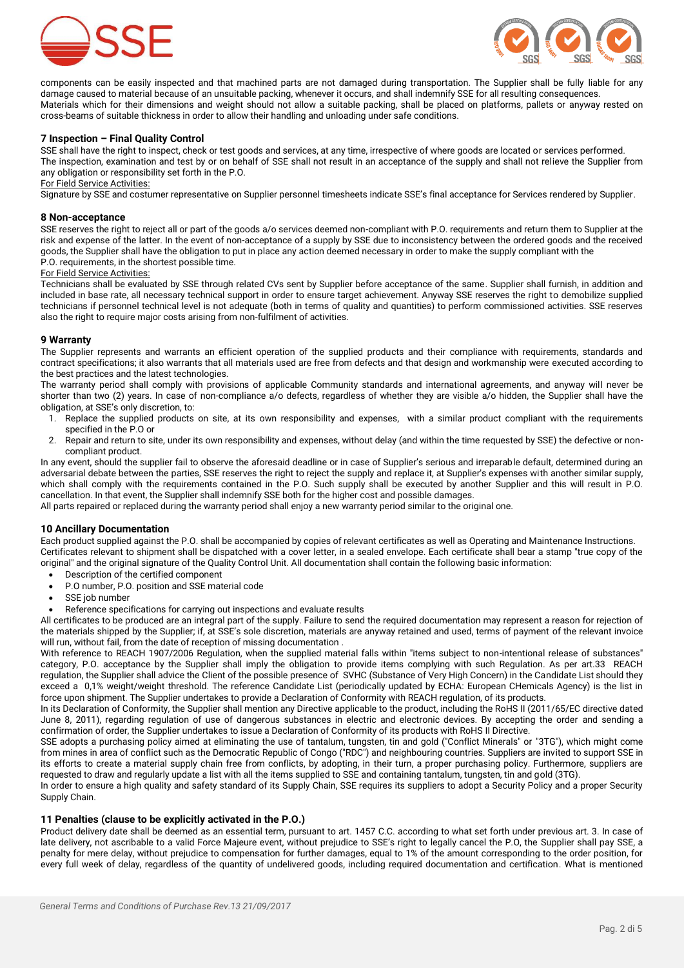



components can be easily inspected and that machined parts are not damaged during transportation. The Supplier shall be fully liable for any damage caused to material because of an unsuitable packing, whenever it occurs, and shall indemnify SSE for all resulting consequences. Materials which for their dimensions and weight should not allow a suitable packing, shall be placed on platforms, pallets or anyway rested on cross-beams of suitable thickness in order to allow their handling and unloading under safe conditions.

# **7 Inspection – Final Quality Control**

SSE shall have the right to inspect, check or test goods and services, at any time, irrespective of where goods are located or services performed. The inspection, examination and test by or on behalf of SSE shall not result in an acceptance of the supply and shall not relieve the Supplier from any obligation or responsibility set forth in the P.O.

#### For Field Service Activities:

Signature by SSE and costumer representative on Supplier personnel timesheets indicate SSE's final acceptance for Services rendered by Supplier.

#### **8 Non-acceptance**

SSE reserves the right to reject all or part of the goods a/o services deemed non-compliant with P.O. requirements and return them to Supplier at the risk and expense of the latter. In the event of non-acceptance of a supply by SSE due to inconsistency between the ordered goods and the received goods, the Supplier shall have the obligation to put in place any action deemed necessary in order to make the supply compliant with the P.O. requirements, in the shortest possible time.

#### For Field Service Activities:

Technicians shall be evaluated by SSE through related CVs sent by Supplier before acceptance of the same. Supplier shall furnish, in addition and included in base rate, all necessary technical support in order to ensure target achievement. Anyway SSE reserves the right to demobilize supplied technicians if personnel technical level is not adequate (both in terms of quality and quantities) to perform commissioned activities. SSE reserves also the right to require major costs arising from non-fulfilment of activities.

#### **9 Warranty**

The Supplier represents and warrants an efficient operation of the supplied products and their compliance with requirements, standards and contract specifications; it also warrants that all materials used are free from defects and that design and workmanship were executed according to the best practices and the latest technologies.

The warranty period shall comply with provisions of applicable Community standards and international agreements, and anyway will never be shorter than two (2) years. In case of non-compliance a/o defects, regardless of whether they are visible a/o hidden, the Supplier shall have the obligation, at SSE's only discretion, to:

- 1. Replace the supplied products on site, at its own responsibility and expenses, with a similar product compliant with the requirements specified in the P.O or
- 2. Repair and return to site, under its own responsibility and expenses, without delay (and within the time requested by SSE) the defective or noncompliant product.

In any event, should the supplier fail to observe the aforesaid deadline or in case of Supplier's serious and irreparable default, determined during an adversarial debate between the parties, SSE reserves the right to reject the supply and replace it, at Supplier's expenses with another similar supply, which shall comply with the requirements contained in the P.O. Such supply shall be executed by another Supplier and this will result in P.O. cancellation. In that event, the Supplier shall indemnify SSE both for the higher cost and possible damages.

All parts repaired or replaced during the warranty period shall enjoy a new warranty period similar to the original one.

#### **10 Ancillary Documentation**

Each product supplied against the P.O. shall be accompanied by copies of relevant certificates as well as Operating and Maintenance Instructions. Certificates relevant to shipment shall be dispatched with a cover letter, in a sealed envelope. Each certificate shall bear a stamp "true copy of the original" and the original signature of the Quality Control Unit. All documentation shall contain the following basic information:

- Description of the certified component
- P.O number, P.O. position and SSE material code
- SSE job number
- Reference specifications for carrying out inspections and evaluate results

All certificates to be produced are an integral part of the supply. Failure to send the required documentation may represent a reason for rejection of the materials shipped by the Supplier; if, at SSE's sole discretion, materials are anyway retained and used, terms of payment of the relevant invoice will run, without fail, from the date of reception of missing documentation .

With reference to REACH 1907/2006 Regulation, when the supplied material falls within "items subject to non-intentional release of substances" category, P.O. acceptance by the Supplier shall imply the obligation to provide items complying with such Regulation. As per art.33 REACH regulation, the Supplier shall advice the Client of the possible presence of SVHC (Substance of Very High Concern) in the Candidate List should they exceed a 0,1% weight/weight threshold. The reference Candidate List (periodically updated by ECHA: European CHemicals Agency) is the list in force upon shipment. The Supplier undertakes to provide a Declaration of Conformity with REACH regulation, of its products.

In its Declaration of Conformity, the Supplier shall mention any Directive applicable to the product, including the RoHS II (2011/65/EC directive dated June 8, 2011), regarding regulation of use of dangerous substances in electric and electronic devices. By accepting the order and sending a confirmation of order, the Supplier undertakes to issue a Declaration of Conformity of its products with RoHS II Directive.

SSE adopts a purchasing policy aimed at eliminating the use of tantalum, tungsten, tin and gold ("Conflict Minerals" or "3TG"), which might come from mines in area of conflict such as the Democratic Republic of Congo ("RDC") and neighbouring countries. Suppliers are invited to support SSE in its efforts to create a material supply chain free from conflicts, by adopting, in their turn, a proper purchasing policy. Furthermore, suppliers are requested to draw and regularly update a list with all the items supplied to SSE and containing tantalum, tungsten, tin and gold (3TG).

In order to ensure a high quality and safety standard of its Supply Chain, SSE requires its suppliers to adopt a Security Policy and a proper Security Supply Chain.

#### **11 Penalties (clause to be explicitly activated in the P.O.)**

Product delivery date shall be deemed as an essential term, pursuant to art. 1457 C.C. according to what set forth under previous art. 3. In case of late delivery, not ascribable to a valid Force Majeure event, without prejudice to SSE's right to legally cancel the P.O, the Supplier shall pay SSE, a penalty for mere delay, without prejudice to compensation for further damages, equal to 1% of the amount corresponding to the order position, for every full week of delay, regardless of the quantity of undelivered goods, including required documentation and certification. What is mentioned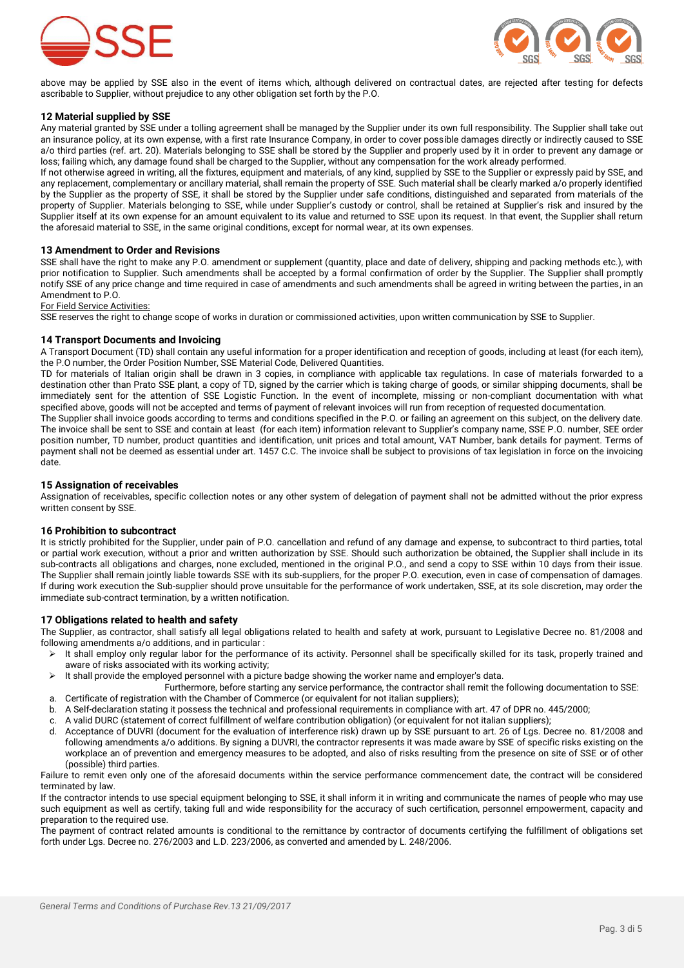



above may be applied by SSE also in the event of items which, although delivered on contractual dates, are rejected after testing for defects ascribable to Supplier, without prejudice to any other obligation set forth by the P.O.

# **12 Material supplied by SSE**

Any material granted by SSE under a tolling agreement shall be managed by the Supplier under its own full responsibility. The Supplier shall take out an insurance policy, at its own expense, with a first rate Insurance Company, in order to cover possible damages directly or indirectly caused to SSE a/o third parties (ref. art. 20). Materials belonging to SSE shall be stored by the Supplier and properly used by it in order to prevent any damage or loss; failing which, any damage found shall be charged to the Supplier, without any compensation for the work already performed.

If not otherwise agreed in writing, all the fixtures, equipment and materials, of any kind, supplied by SSE to the Supplier or expressly paid by SSE, and any replacement, complementary or ancillary material, shall remain the property of SSE. Such material shall be clearly marked a/o properly identified by the Supplier as the property of SSE, it shall be stored by the Supplier under safe conditions, distinguished and separated from materials of the property of Supplier. Materials belonging to SSE, while under Supplier's custody or control, shall be retained at Supplier's risk and insured by the Supplier itself at its own expense for an amount equivalent to its value and returned to SSE upon its request. In that event, the Supplier shall return the aforesaid material to SSE, in the same original conditions, except for normal wear, at its own expenses.

#### **13 Amendment to Order and Revisions**

SSE shall have the right to make any P.O. amendment or supplement (quantity, place and date of delivery, shipping and packing methods etc.), with prior notification to Supplier. Such amendments shall be accepted by a formal confirmation of order by the Supplier. The Supplier shall promptly notify SSE of any price change and time required in case of amendments and such amendments shall be agreed in writing between the parties, in an Amendment to P.O.

For Field Service Activities:

SSE reserves the right to change scope of works in duration or commissioned activities, upon written communication by SSE to Supplier.

#### **14 Transport Documents and Invoicing**

A Transport Document (TD) shall contain any useful information for a proper identification and reception of goods, including at least (for each item), the P.O number, the Order Position Number, SSE Material Code, Delivered Quantities.

TD for materials of Italian origin shall be drawn in 3 copies, in compliance with applicable tax regulations. In case of materials forwarded to a destination other than Prato SSE plant, a copy of TD, signed by the carrier which is taking charge of goods, or similar shipping documents, shall be immediately sent for the attention of SSE Logistic Function. In the event of incomplete, missing or non-compliant documentation with what specified above, goods will not be accepted and terms of payment of relevant invoices will run from reception of requested documentation.

The Supplier shall invoice goods according to terms and conditions specified in the P.O. or failing an agreement on this subject, on the delivery date. The invoice shall be sent to SSE and contain at least (for each item) information relevant to Supplier's company name, SSE P.O. number, SEE order position number, TD number, product quantities and identification, unit prices and total amount, VAT Number, bank details for payment. Terms of payment shall not be deemed as essential under art. 1457 C.C. The invoice shall be subject to provisions of tax legislation in force on the invoicing date.

#### **15 Assignation of receivables**

Assignation of receivables, specific collection notes or any other system of delegation of payment shall not be admitted without the prior express written consent by SSE.

#### **16 Prohibition to subcontract**

It is strictly prohibited for the Supplier, under pain of P.O. cancellation and refund of any damage and expense, to subcontract to third parties, total or partial work execution, without a prior and written authorization by SSE. Should such authorization be obtained, the Supplier shall include in its sub-contracts all obligations and charges, none excluded, mentioned in the original P.O., and send a copy to SSE within 10 days from their issue. The Supplier shall remain jointly liable towards SSE with its sub-suppliers, for the proper P.O. execution, even in case of compensation of damages. If during work execution the Sub-supplier should prove unsuitable for the performance of work undertaken, SSE, at its sole discretion, may order the immediate sub-contract termination, by a written notification.

#### **17 Obligations related to health and safety**

The Supplier, as contractor, shall satisfy all legal obligations related to health and safety at work, pursuant to Legislative Decree no. 81/2008 and following amendments a/o additions, and in particular :

- It shall employ only regular labor for the performance of its activity. Personnel shall be specifically skilled for its task, properly trained and aware of risks associated with its working activity;
- $\triangleright$  It shall provide the employed personnel with a picture badge showing the worker name and employer's data.
- Furthermore, before starting any service performance, the contractor shall remit the following documentation to SSE: a. Certificate of registration with the Chamber of Commerce (or equivalent for not italian suppliers);
- b. A Self-declaration stating it possess the technical and professional requirements in compliance with art. 47 of DPR no. 445/2000;
- c. A valid DURC (statement of correct fulfillment of welfare contribution obligation) (or equivalent for not italian suppliers);
- d. Acceptance of DUVRI (document for the evaluation of interference risk) drawn up by SSE pursuant to art. 26 of Lgs. Decree no. 81/2008 and following amendments a/o additions. By signing a DUVRI, the contractor represents it was made aware by SSE of specific risks existing on the workplace an of prevention and emergency measures to be adopted, and also of risks resulting from the presence on site of SSE or of other (possible) third parties.

Failure to remit even only one of the aforesaid documents within the service performance commencement date, the contract will be considered terminated by law.

If the contractor intends to use special equipment belonging to SSE, it shall inform it in writing and communicate the names of people who may use such equipment as well as certify, taking full and wide responsibility for the accuracy of such certification, personnel empowerment, capacity and preparation to the required use.

The payment of contract related amounts is conditional to the remittance by contractor of documents certifying the fulfillment of obligations set forth under Lgs. Decree no. 276/2003 and L.D. 223/2006, as converted and amended by L. 248/2006.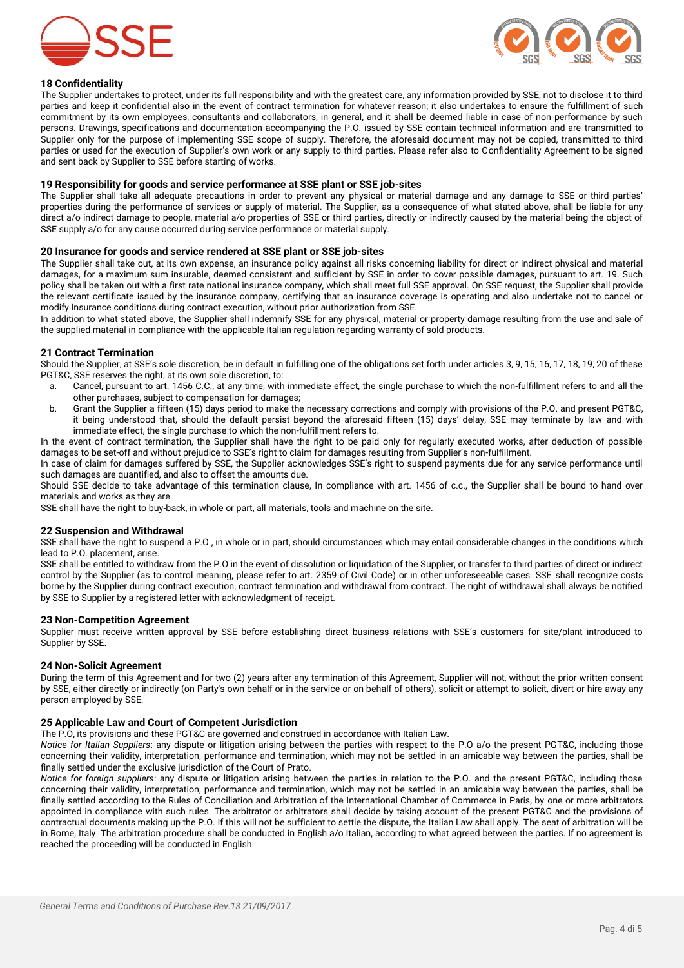



# **18 Confidentiality**

The Supplier undertakes to protect, under its full responsibility and with the greatest care, any information provided by SSE, not to disclose it to third parties and keep it confidential also in the event of contract termination for whatever reason; it also undertakes to ensure the fulfillment of such commitment by its own employees, consultants and collaborators, in general, and it shall be deemed liable in case of non performance by such persons. Drawings, specifications and documentation accompanying the P.O. issued by SSE contain technical information and are transmitted to Supplier only for the purpose of implementing SSE scope of supply. Therefore, the aforesaid document may not be copied, transmitted to third parties or used for the execution of Supplier's own work or any supply to third parties. Please refer also to Confidentiality Agreement to be signed and sent back by Supplier to SSE before starting of works.

#### **19 Responsibility for goods and service performance at SSE plant or SSE job-sites**

The Supplier shall take all adequate precautions in order to prevent any physical or material damage and any damage to SSE or third parties' properties during the performance of services or supply of material. The Supplier, as a consequence of what stated above, shall be liable for any direct a/o indirect damage to people, material a/o properties of SSE or third parties, directly or indirectly caused by the material being the object of SSE supply a/o for any cause occurred during service performance or material supply.

#### **20 Insurance for goods and service rendered at SSE plant or SSE job-sites**

The Supplier shall take out, at its own expense, an insurance policy against all risks concerning liability for direct or indirect physical and material damages, for a maximum sum insurable, deemed consistent and sufficient by SSE in order to cover possible damages, pursuant to art. 19. Such policy shall be taken out with a first rate national insurance company, which shall meet full SSE approval. On SSE request, the Supplier shall provide the relevant certificate issued by the insurance company, certifying that an insurance coverage is operating and also undertake not to cancel or modify Insurance conditions during contract execution, without prior authorization from SSE.

In addition to what stated above, the Supplier shall indemnify SSE for any physical, material or property damage resulting from the use and sale of the supplied material in compliance with the applicable Italian regulation regarding warranty of sold products.

# **21 Contract Termination**

Should the Supplier, at SSE's sole discretion, be in default in fulfilling one of the obligations set forth under articles 3, 9, 15, 16, 17, 18, 19, 20 of these PGT&C, SSE reserves the right, at its own sole discretion, to:

- a. Cancel, pursuant to art. 1456 C.C., at any time, with immediate effect, the single purchase to which the non-fulfillment refers to and all the other purchases, subject to compensation for damages;
- b. Grant the Supplier a fifteen (15) days period to make the necessary corrections and comply with provisions of the P.O. and present PGT&C, it being understood that, should the default persist beyond the aforesaid fifteen (15) days' delay, SSE may terminate by law and with immediate effect, the single purchase to which the non-fulfillment refers to.

In the event of contract termination, the Supplier shall have the right to be paid only for regularly executed works, after deduction of possible damages to be set-off and without prejudice to SSE's right to claim for damages resulting from Supplier's non-fulfillment.

In case of claim for damages suffered by SSE, the Supplier acknowledges SSE's right to suspend payments due for any service performance until such damages are quantified, and also to offset the amounts due.

Should SSE decide to take advantage of this termination clause, In compliance with art. 1456 of c.c., the Supplier shall be bound to hand over materials and works as they are.

SSE shall have the right to buy-back, in whole or part, all materials, tools and machine on the site.

#### **22 Suspension and Withdrawal**

SSE shall have the right to suspend a P.O., in whole or in part, should circumstances which may entail considerable changes in the conditions which lead to P.O. placement, arise.

SSE shall be entitled to withdraw from the P.O in the event of dissolution or liquidation of the Supplier, or transfer to third parties of direct or indirect control by the Supplier (as to control meaning, please refer to art. 2359 of Civil Code) or in other unforeseeable cases. SSE shall recognize costs borne by the Supplier during contract execution, contract termination and withdrawal from contract. The right of withdrawal shall always be notified by SSE to Supplier by a registered letter with acknowledgment of receipt.

### **23 Non-Competition Agreement**

Supplier must receive written approval by SSE before establishing direct business relations with SSE's customers for site/plant introduced to Supplier by SSE.

#### **24 Non-Solicit Agreement**

During the term of this Agreement and for two (2) years after any termination of this Agreement, Supplier will not, without the prior written consent by SSE, either directly or indirectly (on Party's own behalf or in the service or on behalf of others), solicit or attempt to solicit, divert or hire away any person employed by SSE.

### **25 Applicable Law and Court of Competent Jurisdiction**

The P.O, its provisions and these PGT&C are governed and construed in accordance with Italian Law.

*Notice for Italian Suppliers*: any dispute or litigation arising between the parties with respect to the P.O a/o the present PGT&C, including those concerning their validity, interpretation, performance and termination, which may not be settled in an amicable way between the parties, shall be finally settled under the exclusive jurisdiction of the Court of Prato.

*Notice for foreign suppliers*: any dispute or litigation arising between the parties in relation to the P.O. and the present PGT&C, including those concerning their validity, interpretation, performance and termination, which may not be settled in an amicable way between the parties, shall be finally settled according to the Rules of Conciliation and Arbitration of the International Chamber of Commerce in Paris, by one or more arbitrators appointed in compliance with such rules. The arbitrator or arbitrators shall decide by taking account of the present PGT&C and the provisions of contractual documents making up the P.O. If this will not be sufficient to settle the dispute, the Italian Law shall apply. The seat of arbitration will be in Rome, Italy. The arbitration procedure shall be conducted in English a/o Italian, according to what agreed between the parties. If no agreement is reached the proceeding will be conducted in English.